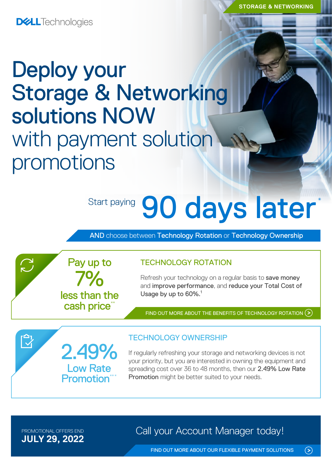**DELL**Technologies

# Deploy your Storage & Networking solutions NOW with payment solution promotions

7%

Pay up to

less than the cash price\*

2.49%

Low Rate **Promotion** 

# Start paying 90 days later

AND choose between Technology Rotation or Technology Ownership

TECHNOLOGY ROTATION

Refresh your technology on a regular basis to save money and improve performance, and reduce your Total Cost of Usage by up to 60%.<sup>1</sup>

FIND OUT MORE ABOUT THE [BENEFITS OF TECHNOLOGY ROTATION](https://www.delltechnologies.com/en-gb/payment-solutions/leasing.htm#tab0=0) (>)

## TECHNOLOGY OWNERSHIP

If regularly refreshing your storage and networking devices is not your priority, but you are interested in owning the equipment and spreading cost over 36 to 48 months, then our 2.49% Low Rate Promotion might be better suited to your needs.

**JULY 29, 2022**

 $\sum$ 

 $\bar{\mathbb{C}}$ 

PROMOTIONAL OFFERS END **Call your Account Manager today!** 

[FIND OUT MORE ABOUT OUR FLEXIBLE PAYMENT SOLUTIONS](https://www.delltechnologies.com/en-gb/payment-solutions/index.htm#tab0=0)

 $\odot$